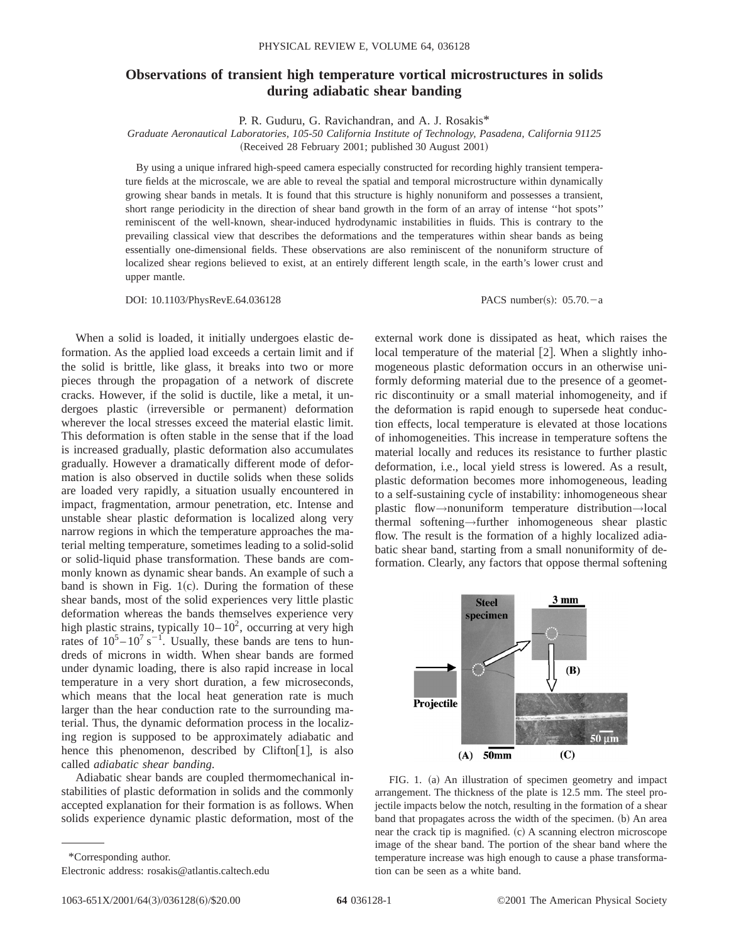## **Observations of transient high temperature vortical microstructures in solids during adiabatic shear banding**

P. R. Guduru, G. Ravichandran, and A. J. Rosakis\*

*Graduate Aeronautical Laboratories, 105-50 California Institute of Technology, Pasadena, California 91125* (Received 28 February 2001; published 30 August 2001)

By using a unique infrared high-speed camera especially constructed for recording highly transient temperature fields at the microscale, we are able to reveal the spatial and temporal microstructure within dynamically growing shear bands in metals. It is found that this structure is highly nonuniform and possesses a transient, short range periodicity in the direction of shear band growth in the form of an array of intense ''hot spots'' reminiscent of the well-known, shear-induced hydrodynamic instabilities in fluids. This is contrary to the prevailing classical view that describes the deformations and the temperatures within shear bands as being essentially one-dimensional fields. These observations are also reminiscent of the nonuniform structure of localized shear regions believed to exist, at an entirely different length scale, in the earth's lower crust and upper mantle.

DOI:  $10.1103/PhysRevE.64.036128$  PACS number(s):  $05.70.-a$ 

When a solid is loaded, it initially undergoes elastic deformation. As the applied load exceeds a certain limit and if the solid is brittle, like glass, it breaks into two or more pieces through the propagation of a network of discrete cracks. However, if the solid is ductile, like a metal, it undergoes plastic (irreversible or permanent) deformation wherever the local stresses exceed the material elastic limit. This deformation is often stable in the sense that if the load is increased gradually, plastic deformation also accumulates gradually. However a dramatically different mode of deformation is also observed in ductile solids when these solids are loaded very rapidly, a situation usually encountered in impact, fragmentation, armour penetration, etc. Intense and unstable shear plastic deformation is localized along very narrow regions in which the temperature approaches the material melting temperature, sometimes leading to a solid-solid or solid-liquid phase transformation. These bands are commonly known as dynamic shear bands. An example of such a band is shown in Fig.  $1(c)$ . During the formation of these shear bands, most of the solid experiences very little plastic deformation whereas the bands themselves experience very high plastic strains, typically  $10-10^2$ , occurring at very high rates of  $10^5 - 10^7$  s<sup>-1</sup>. Usually, these bands are tens to hundreds of microns in width. When shear bands are formed under dynamic loading, there is also rapid increase in local temperature in a very short duration, a few microseconds, which means that the local heat generation rate is much larger than the hear conduction rate to the surrounding material. Thus, the dynamic deformation process in the localizing region is supposed to be approximately adiabatic and hence this phenomenon, described by Clifton [1], is also called *adiabatic shear banding*.

Adiabatic shear bands are coupled thermomechanical instabilities of plastic deformation in solids and the commonly accepted explanation for their formation is as follows. When solids experience dynamic plastic deformation, most of the

\*Corresponding author.

Electronic address: rosakis@atlantis.caltech.edu

external work done is dissipated as heat, which raises the local temperature of the material  $[2]$ . When a slightly inhomogeneous plastic deformation occurs in an otherwise uniformly deforming material due to the presence of a geometric discontinuity or a small material inhomogeneity, and if the deformation is rapid enough to supersede heat conduction effects, local temperature is elevated at those locations of inhomogeneities. This increase in temperature softens the material locally and reduces its resistance to further plastic deformation, i.e., local yield stress is lowered. As a result, plastic deformation becomes more inhomogeneous, leading to a self-sustaining cycle of instability: inhomogeneous shear plastic flow→nonuniform temperature distribution→local thermal softening→further inhomogeneous shear plastic flow. The result is the formation of a highly localized adiabatic shear band, starting from a small nonuniformity of deformation. Clearly, any factors that oppose thermal softening



FIG. 1. (a) An illustration of specimen geometry and impact arrangement. The thickness of the plate is 12.5 mm. The steel projectile impacts below the notch, resulting in the formation of a shear band that propagates across the width of the specimen. (b) An area near the crack tip is magnified.  $(c)$  A scanning electron microscope image of the shear band. The portion of the shear band where the temperature increase was high enough to cause a phase transformation can be seen as a white band.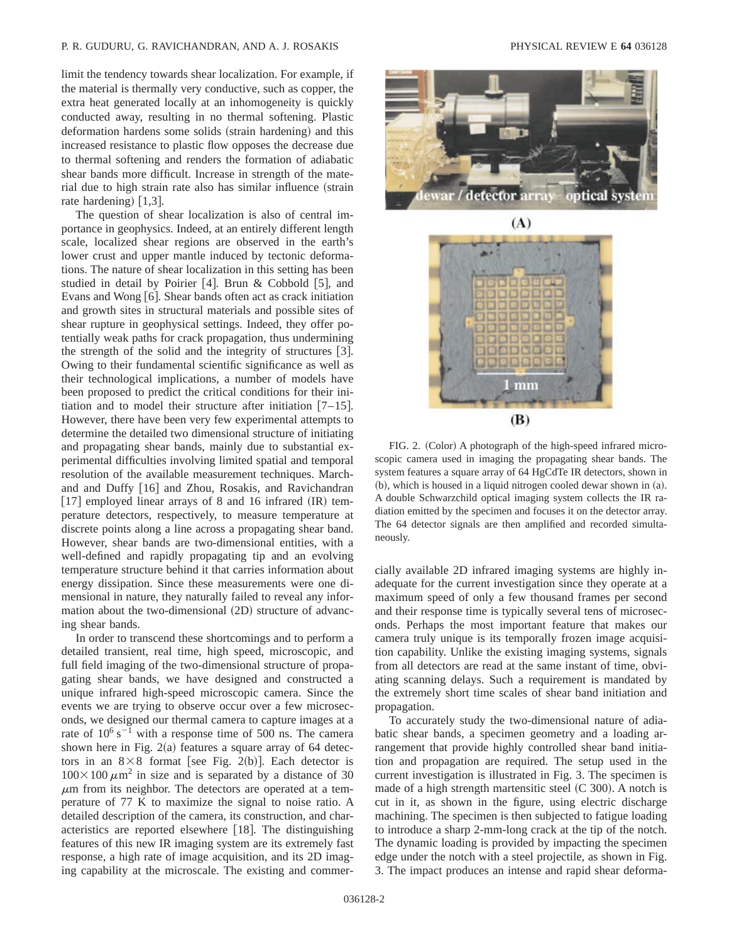## P. R. GUDURU, G. RAVICHANDRAN, AND A. J. ROSAKIS PHYSICAL REVIEW E **64** 036128

limit the tendency towards shear localization. For example, if the material is thermally very conductive, such as copper, the extra heat generated locally at an inhomogeneity is quickly conducted away, resulting in no thermal softening. Plastic deformation hardens some solids (strain hardening) and this increased resistance to plastic flow opposes the decrease due to thermal softening and renders the formation of adiabatic shear bands more difficult. Increase in strength of the material due to high strain rate also has similar influence (strain rate hardening)  $\lceil 1,3 \rceil$ .

The question of shear localization is also of central importance in geophysics. Indeed, at an entirely different length scale, localized shear regions are observed in the earth's lower crust and upper mantle induced by tectonic deformations. The nature of shear localization in this setting has been studied in detail by Poirier  $[4]$ . Brun & Cobbold  $[5]$ , and Evans and Wong  $[6]$ . Shear bands often act as crack initiation and growth sites in structural materials and possible sites of shear rupture in geophysical settings. Indeed, they offer potentially weak paths for crack propagation, thus undermining the strength of the solid and the integrity of structures  $[3]$ . Owing to their fundamental scientific significance as well as their technological implications, a number of models have been proposed to predict the critical conditions for their initiation and to model their structure after initiation  $[7-15]$ . However, there have been very few experimental attempts to determine the detailed two dimensional structure of initiating and propagating shear bands, mainly due to substantial experimental difficulties involving limited spatial and temporal resolution of the available measurement techniques. Marchand and Duffy  $[16]$  and Zhou, Rosakis, and Ravichandran  $[17]$  employed linear arrays of 8 and 16 infrared  $(IR)$  temperature detectors, respectively, to measure temperature at discrete points along a line across a propagating shear band. However, shear bands are two-dimensional entities, with a well-defined and rapidly propagating tip and an evolving temperature structure behind it that carries information about energy dissipation. Since these measurements were one dimensional in nature, they naturally failed to reveal any information about the two-dimensional  $(2D)$  structure of advancing shear bands.

In order to transcend these shortcomings and to perform a detailed transient, real time, high speed, microscopic, and full field imaging of the two-dimensional structure of propagating shear bands, we have designed and constructed a unique infrared high-speed microscopic camera. Since the events we are trying to observe occur over a few microseconds, we designed our thermal camera to capture images at a rate of  $10^6$  s<sup>-1</sup> with a response time of 500 ns. The camera shown here in Fig.  $2(a)$  features a square array of 64 detectors in an  $8\times 8$  format [see Fig. 2(b)]. Each detector is  $100 \times 100 \ \mu \text{m}^2$  in size and is separated by a distance of 30  $\mu$ m from its neighbor. The detectors are operated at a temperature of 77 K to maximize the signal to noise ratio. A detailed description of the camera, its construction, and characteristics are reported elsewhere  $[18]$ . The distinguishing features of this new IR imaging system are its extremely fast response, a high rate of image acquisition, and its 2D imaging capability at the microscale. The existing and commer-





FIG. 2. (Color) A photograph of the high-speed infrared microscopic camera used in imaging the propagating shear bands. The system features a square array of 64 HgCdTe IR detectors, shown in  $(b)$ , which is housed in a liquid nitrogen cooled dewar shown in  $(a)$ . A double Schwarzchild optical imaging system collects the IR radiation emitted by the specimen and focuses it on the detector array. The 64 detector signals are then amplified and recorded simultaneously.

cially available 2D infrared imaging systems are highly inadequate for the current investigation since they operate at a maximum speed of only a few thousand frames per second and their response time is typically several tens of microseconds. Perhaps the most important feature that makes our camera truly unique is its temporally frozen image acquisition capability. Unlike the existing imaging systems, signals from all detectors are read at the same instant of time, obviating scanning delays. Such a requirement is mandated by the extremely short time scales of shear band initiation and propagation.

To accurately study the two-dimensional nature of adiabatic shear bands, a specimen geometry and a loading arrangement that provide highly controlled shear band initiation and propagation are required. The setup used in the current investigation is illustrated in Fig. 3. The specimen is made of a high strength martensitic steel  $(C 300)$ . A notch is cut in it, as shown in the figure, using electric discharge machining. The specimen is then subjected to fatigue loading to introduce a sharp 2-mm-long crack at the tip of the notch. The dynamic loading is provided by impacting the specimen edge under the notch with a steel projectile, as shown in Fig. 3. The impact produces an intense and rapid shear deforma-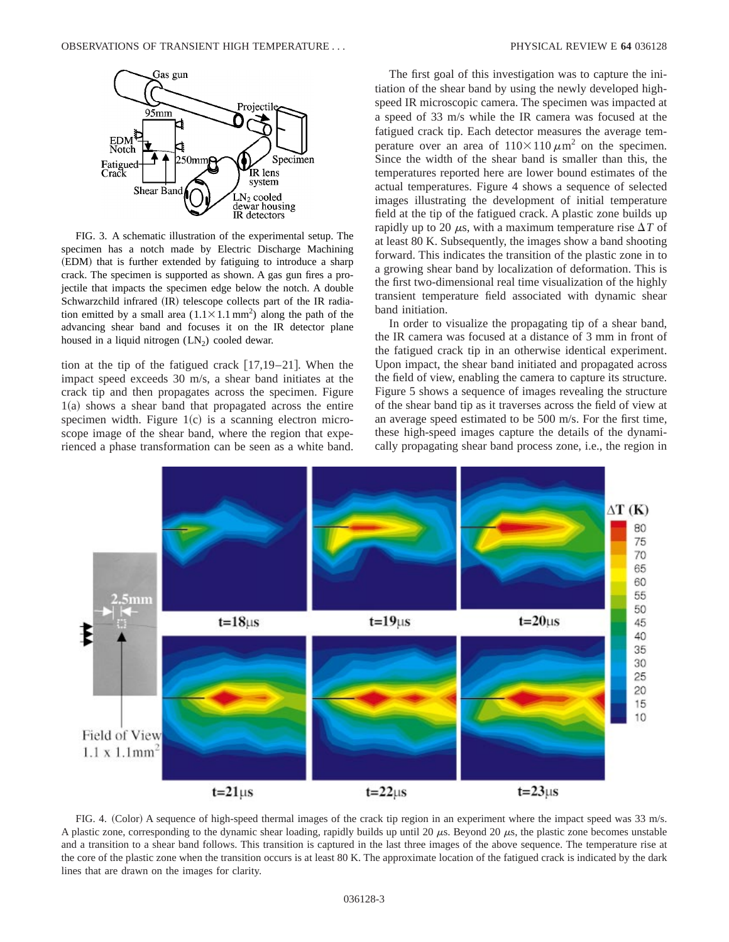

FIG. 3. A schematic illustration of the experimental setup. The specimen has a notch made by Electric Discharge Machining (EDM) that is further extended by fatiguing to introduce a sharp crack. The specimen is supported as shown. A gas gun fires a projectile that impacts the specimen edge below the notch. A double Schwarzchild infrared (IR) telescope collects part of the IR radiation emitted by a small area  $(1.1 \times 1.1 \text{ mm}^2)$  along the path of the advancing shear band and focuses it on the IR detector plane housed in a liquid nitrogen  $(LN_2)$  cooled dewar.

tion at the tip of the fatigued crack  $[17,19-21]$ . When the impact speed exceeds 30 m/s, a shear band initiates at the crack tip and then propagates across the specimen. Figure  $1(a)$  shows a shear band that propagated across the entire specimen width. Figure  $1(c)$  is a scanning electron microscope image of the shear band, where the region that experienced a phase transformation can be seen as a white band.

The first goal of this investigation was to capture the initiation of the shear band by using the newly developed highspeed IR microscopic camera. The specimen was impacted at a speed of 33 m/s while the IR camera was focused at the fatigued crack tip. Each detector measures the average temperature over an area of  $110\times110 \mu m^2$  on the specimen. Since the width of the shear band is smaller than this, the temperatures reported here are lower bound estimates of the actual temperatures. Figure 4 shows a sequence of selected images illustrating the development of initial temperature field at the tip of the fatigued crack. A plastic zone builds up rapidly up to 20  $\mu$ s, with a maximum temperature rise  $\Delta T$  of at least 80 K. Subsequently, the images show a band shooting forward. This indicates the transition of the plastic zone in to a growing shear band by localization of deformation. This is the first two-dimensional real time visualization of the highly transient temperature field associated with dynamic shear band initiation.

In order to visualize the propagating tip of a shear band, the IR camera was focused at a distance of 3 mm in front of the fatigued crack tip in an otherwise identical experiment. Upon impact, the shear band initiated and propagated across the field of view, enabling the camera to capture its structure. Figure 5 shows a sequence of images revealing the structure of the shear band tip as it traverses across the field of view at an average speed estimated to be 500 m/s. For the first time, these high-speed images capture the details of the dynamically propagating shear band process zone, i.e., the region in



FIG. 4. (Color) A sequence of high-speed thermal images of the crack tip region in an experiment where the impact speed was 33 m/s. A plastic zone, corresponding to the dynamic shear loading, rapidly builds up until 20  $\mu$ s. Beyond 20  $\mu$ s, the plastic zone becomes unstable and a transition to a shear band follows. This transition is captured in the last three images of the above sequence. The temperature rise at the core of the plastic zone when the transition occurs is at least 80 K. The approximate location of the fatigued crack is indicated by the dark lines that are drawn on the images for clarity.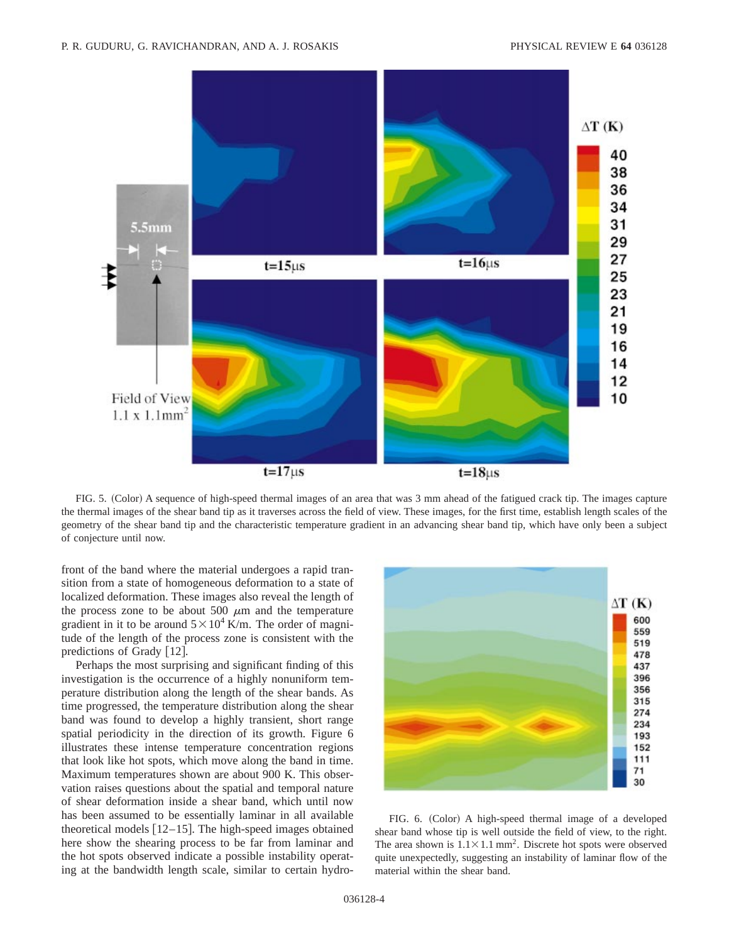

FIG. 5. (Color) A sequence of high-speed thermal images of an area that was 3 mm ahead of the fatigued crack tip. The images capture the thermal images of the shear band tip as it traverses across the field of view. These images, for the first time, establish length scales of the geometry of the shear band tip and the characteristic temperature gradient in an advancing shear band tip, which have only been a subject of conjecture until now.

front of the band where the material undergoes a rapid transition from a state of homogeneous deformation to a state of localized deformation. These images also reveal the length of the process zone to be about 500  $\mu$ m and the temperature gradient in it to be around  $5 \times 10^4$  K/m. The order of magnitude of the length of the process zone is consistent with the predictions of Grady  $[12]$ .

Perhaps the most surprising and significant finding of this investigation is the occurrence of a highly nonuniform temperature distribution along the length of the shear bands. As time progressed, the temperature distribution along the shear band was found to develop a highly transient, short range spatial periodicity in the direction of its growth. Figure 6 illustrates these intense temperature concentration regions that look like hot spots, which move along the band in time. Maximum temperatures shown are about 900 K. This observation raises questions about the spatial and temporal nature of shear deformation inside a shear band, which until now has been assumed to be essentially laminar in all available theoretical models  $[12-15]$ . The high-speed images obtained here show the shearing process to be far from laminar and the hot spots observed indicate a possible instability operating at the bandwidth length scale, similar to certain hydro-



FIG. 6. (Color) A high-speed thermal image of a developed shear band whose tip is well outside the field of view, to the right. The area shown is  $1.1 \times 1.1$  mm<sup>2</sup>. Discrete hot spots were observed quite unexpectedly, suggesting an instability of laminar flow of the material within the shear band.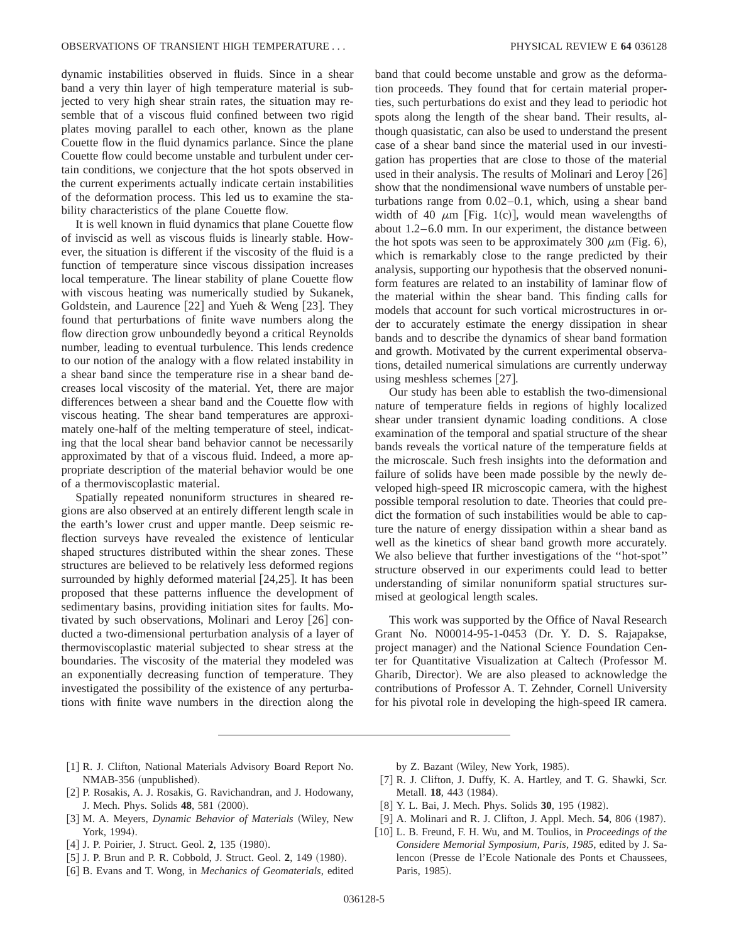dynamic instabilities observed in fluids. Since in a shear band a very thin layer of high temperature material is subjected to very high shear strain rates, the situation may resemble that of a viscous fluid confined between two rigid plates moving parallel to each other, known as the plane Couette flow in the fluid dynamics parlance. Since the plane Couette flow could become unstable and turbulent under certain conditions, we conjecture that the hot spots observed in the current experiments actually indicate certain instabilities of the deformation process. This led us to examine the stability characteristics of the plane Couette flow.

It is well known in fluid dynamics that plane Couette flow of inviscid as well as viscous fluids is linearly stable. However, the situation is different if the viscosity of the fluid is a function of temperature since viscous dissipation increases local temperature. The linear stability of plane Couette flow with viscous heating was numerically studied by Sukanek, Goldstein, and Laurence  $[22]$  and Yueh & Weng  $[23]$ . They found that perturbations of finite wave numbers along the flow direction grow unboundedly beyond a critical Reynolds number, leading to eventual turbulence. This lends credence to our notion of the analogy with a flow related instability in a shear band since the temperature rise in a shear band decreases local viscosity of the material. Yet, there are major differences between a shear band and the Couette flow with viscous heating. The shear band temperatures are approximately one-half of the melting temperature of steel, indicating that the local shear band behavior cannot be necessarily approximated by that of a viscous fluid. Indeed, a more appropriate description of the material behavior would be one of a thermoviscoplastic material.

Spatially repeated nonuniform structures in sheared regions are also observed at an entirely different length scale in the earth's lower crust and upper mantle. Deep seismic reflection surveys have revealed the existence of lenticular shaped structures distributed within the shear zones. These structures are believed to be relatively less deformed regions surrounded by highly deformed material  $[24,25]$ . It has been proposed that these patterns influence the development of sedimentary basins, providing initiation sites for faults. Motivated by such observations, Molinari and Leroy  $[26]$  conducted a two-dimensional perturbation analysis of a layer of thermoviscoplastic material subjected to shear stress at the boundaries. The viscosity of the material they modeled was an exponentially decreasing function of temperature. They investigated the possibility of the existence of any perturbations with finite wave numbers in the direction along the

band that could become unstable and grow as the deformation proceeds. They found that for certain material properties, such perturbations do exist and they lead to periodic hot spots along the length of the shear band. Their results, although quasistatic, can also be used to understand the present case of a shear band since the material used in our investigation has properties that are close to those of the material used in their analysis. The results of Molinari and Leroy  $[26]$ show that the nondimensional wave numbers of unstable perturbations range from 0.02–0.1, which, using a shear band width of 40  $\mu$ m [Fig. 1(c)], would mean wavelengths of about 1.2–6.0 mm. In our experiment, the distance between the hot spots was seen to be approximately 300  $\mu$ m (Fig. 6), which is remarkably close to the range predicted by their analysis, supporting our hypothesis that the observed nonuniform features are related to an instability of laminar flow of the material within the shear band. This finding calls for models that account for such vortical microstructures in order to accurately estimate the energy dissipation in shear bands and to describe the dynamics of shear band formation and growth. Motivated by the current experimental observations, detailed numerical simulations are currently underway using meshless schemes  $[27]$ .

Our study has been able to establish the two-dimensional nature of temperature fields in regions of highly localized shear under transient dynamic loading conditions. A close examination of the temporal and spatial structure of the shear bands reveals the vortical nature of the temperature fields at the microscale. Such fresh insights into the deformation and failure of solids have been made possible by the newly developed high-speed IR microscopic camera, with the highest possible temporal resolution to date. Theories that could predict the formation of such instabilities would be able to capture the nature of energy dissipation within a shear band as well as the kinetics of shear band growth more accurately. We also believe that further investigations of the ''hot-spot'' structure observed in our experiments could lead to better understanding of similar nonuniform spatial structures surmised at geological length scales.

This work was supported by the Office of Naval Research Grant No. N00014-95-1-0453 (Dr. Y. D. S. Rajapakse, project manager) and the National Science Foundation Center for Quantitative Visualization at Caltech (Professor M. Gharib, Director). We are also pleased to acknowledge the contributions of Professor A. T. Zehnder, Cornell University for his pivotal role in developing the high-speed IR camera.

- [1] R. J. Clifton, National Materials Advisory Board Report No. NMAB-356 (unpublished).
- [2] P. Rosakis, A. J. Rosakis, G. Ravichandran, and J. Hodowany, J. Mech. Phys. Solids **48**, 581 (2000).
- [3] M. A. Meyers, *Dynamic Behavior of Materials* (Wiley, New York, 1994).
- [4] J. P. Poirier, J. Struct. Geol. 2, 135 (1980).
- [5] J. P. Brun and P. R. Cobbold, J. Struct. Geol. 2, 149 (1980).
- @6# B. Evans and T. Wong, in *Mechanics of Geomaterials*, edited

by Z. Bazant (Wiley, New York, 1985).

- [7] R. J. Clifton, J. Duffy, K. A. Hartley, and T. G. Shawki, Scr. Metall. **18**, 443 (1984).
- [8] Y. L. Bai, J. Mech. Phys. Solids **30**, 195 (1982).
- $[9]$  A. Molinari and R. J. Clifton, J. Appl. Mech. **54**, 806  $(1987)$ .
- [10] L. B. Freund, F. H. Wu, and M. Toulios, in *Proceedings of the Considere Memorial Symposium, Paris, 1985*, edited by J. Salencon (Presse de l'Ecole Nationale des Ponts et Chaussees, Paris, 1985).